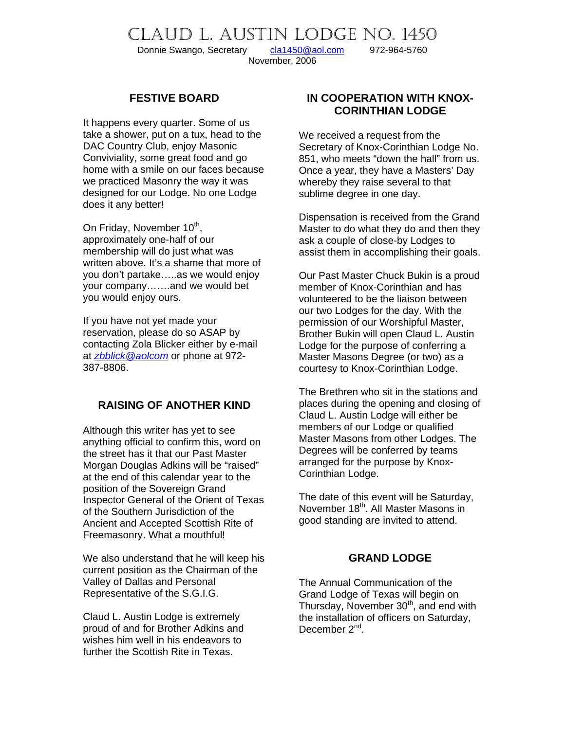CLAUD L. AUSTIN LODGE NO. 1450 Donnie Swango, Secretary [cla1450@aol.com](mailto:cla1450@aol.com) 972-964-5760 November, 2006

### **FESTIVE BOARD**

It happens every quarter. Some of us take a shower, put on a tux, head to the DAC Country Club, enjoy Masonic Conviviality, some great food and go home with a smile on our faces because we practiced Masonry the way it was designed for our Lodge. No one Lodge does it any better!

On Friday, November 10<sup>th</sup>, approximately one-half of our membership will do just what was written above. It's a shame that more of you don't partake…..as we would enjoy your company…….and we would bet you would enjoy ours.

If you have not yet made your reservation, please do so ASAP by contacting Zola Blicker either by e-mail at *[zbblick@aolc](mailto:zbblick@aol)om* or phone at 972- 387-8806.

#### **RAISING OF ANOTHER KIND**

Although this writer has yet to see anything official to confirm this, word on the street has it that our Past Master Morgan Douglas Adkins will be "raised" at the end of this calendar year to the position of the Sovereign Grand Inspector General of the Orient of Texas of the Southern Jurisdiction of the Ancient and Accepted Scottish Rite of Freemasonry. What a mouthful!

We also understand that he will keep his current position as the Chairman of the Valley of Dallas and Personal Representative of the S.G.I.G.

Claud L. Austin Lodge is extremely proud of and for Brother Adkins and wishes him well in his endeavors to further the Scottish Rite in Texas.

## **IN COOPERATION WITH KNOX-CORINTHIAN LODGE**

We received a request from the Secretary of Knox-Corinthian Lodge No. 851, who meets "down the hall" from us. Once a year, they have a Masters' Day whereby they raise several to that sublime degree in one day.

Dispensation is received from the Grand Master to do what they do and then they ask a couple of close-by Lodges to assist them in accomplishing their goals.

Our Past Master Chuck Bukin is a proud member of Knox-Corinthian and has volunteered to be the liaison between our two Lodges for the day. With the permission of our Worshipful Master, Brother Bukin will open Claud L. Austin Lodge for the purpose of conferring a Master Masons Degree (or two) as a courtesy to Knox-Corinthian Lodge.

The Brethren who sit in the stations and places during the opening and closing of Claud L. Austin Lodge will either be members of our Lodge or qualified Master Masons from other Lodges. The Degrees will be conferred by teams arranged for the purpose by Knox-Corinthian Lodge.

The date of this event will be Saturday, November 18<sup>th</sup>. All Master Masons in good standing are invited to attend.

#### **GRAND LODGE**

The Annual Communication of the Grand Lodge of Texas will begin on Thursday, November  $30<sup>th</sup>$ , and end with the installation of officers on Saturday, December 2<sup>nd</sup>.